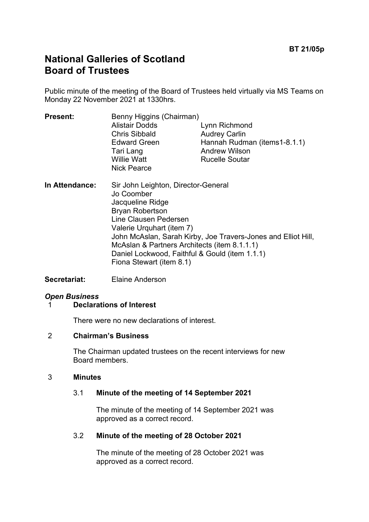# **National Galleries of Scotland Board of Trustees**

Public minute of the meeting of the Board of Trustees held virtually via MS Teams on Monday 22 November 2021 at 1330hrs.

| <b>Present:</b> | Benny Higgins (Chairman)                          |                              |
|-----------------|---------------------------------------------------|------------------------------|
|                 | <b>Alistair Dodds</b>                             | Lynn Richmond                |
|                 | <b>Chris Sibbald</b>                              | <b>Audrey Carlin</b>         |
|                 | <b>Edward Green</b>                               | Hannah Rudman (items1-8.1.1) |
|                 | Tari Lang                                         | <b>Andrew Wilson</b>         |
|                 | <b>Willie Watt</b><br><b>Nick Pearce</b>          | <b>Rucelle Soutar</b>        |
| In Attendance:  | Sir John Leighton, Director-General<br>Jo Coomber |                              |
|                 | lacqualina Ridga                                  |                              |

- Jacqueline Ridge Bryan Robertson Line Clausen Pedersen Valerie Urquhart (item 7) John McAslan, Sarah Kirby, Joe Travers-Jones and Elliot Hill, McAslan & Partners Architects (item 8.1.1.1) Daniel Lockwood, Faithful & Gould (item 1.1.1) Fiona Stewart (item 8.1)
- **Secretariat:** Elaine Anderson

# *Open Business*

#### 1 **Declarations of Interest**

There were no new declarations of interest.

#### 2 **Chairman's Business**

The Chairman updated trustees on the recent interviews for new Board members.

#### 3 **Minutes**

#### 3.1 **Minute of the meeting of 14 September 2021**

The minute of the meeting of 14 September 2021 was approved as a correct record.

#### 3.2 **Minute of the meeting of 28 October 2021**

The minute of the meeting of 28 October 2021 was approved as a correct record.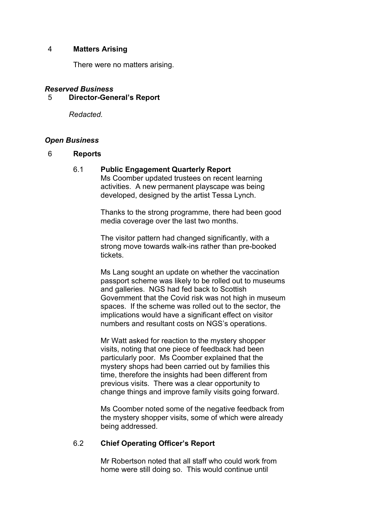#### 4 **Matters Arising**

There were no matters arising.

# *Reserved Business*

#### 5 **Director-General's Report**

*Redacted.*

#### *Open Business*

#### 6 **Reports**

#### 6.1 **Public Engagement Quarterly Report**

Ms Coomber updated trustees on recent learning activities. A new permanent playscape was being developed, designed by the artist Tessa Lynch.

Thanks to the strong programme, there had been good media coverage over the last two months.

The visitor pattern had changed significantly, with a strong move towards walk-ins rather than pre-booked tickets.

Ms Lang sought an update on whether the vaccination passport scheme was likely to be rolled out to museums and galleries. NGS had fed back to Scottish Government that the Covid risk was not high in museum spaces. If the scheme was rolled out to the sector, the implications would have a significant effect on visitor numbers and resultant costs on NGS's operations.

Mr Watt asked for reaction to the mystery shopper visits, noting that one piece of feedback had been particularly poor. Ms Coomber explained that the mystery shops had been carried out by families this time, therefore the insights had been different from previous visits. There was a clear opportunity to change things and improve family visits going forward.

Ms Coomber noted some of the negative feedback from the mystery shopper visits, some of which were already being addressed.

#### 6.2 **Chief Operating Officer's Report**

Mr Robertson noted that all staff who could work from home were still doing so. This would continue until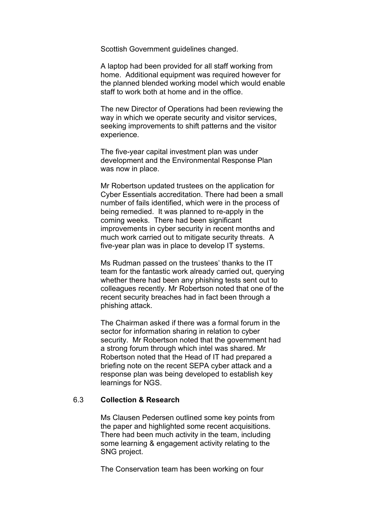Scottish Government guidelines changed.

A laptop had been provided for all staff working from home. Additional equipment was required however for the planned blended working model which would enable staff to work both at home and in the office.

The new Director of Operations had been reviewing the way in which we operate security and visitor services, seeking improvements to shift patterns and the visitor experience.

The five-year capital investment plan was under development and the Environmental Response Plan was now in place.

Mr Robertson updated trustees on the application for Cyber Essentials accreditation. There had been a small number of fails identified, which were in the process of being remedied. It was planned to re-apply in the coming weeks. There had been significant improvements in cyber security in recent months and much work carried out to mitigate security threats. A five-year plan was in place to develop IT systems.

Ms Rudman passed on the trustees' thanks to the IT team for the fantastic work already carried out, querying whether there had been any phishing tests sent out to colleagues recently. Mr Robertson noted that one of the recent security breaches had in fact been through a phishing attack.

The Chairman asked if there was a formal forum in the sector for information sharing in relation to cyber security. Mr Robertson noted that the government had a strong forum through which intel was shared. Mr Robertson noted that the Head of IT had prepared a briefing note on the recent SEPA cyber attack and a response plan was being developed to establish key learnings for NGS.

#### 6.3 **Collection & Research**

Ms Clausen Pedersen outlined some key points from the paper and highlighted some recent acquisitions. There had been much activity in the team, including some learning & engagement activity relating to the SNG project.

The Conservation team has been working on four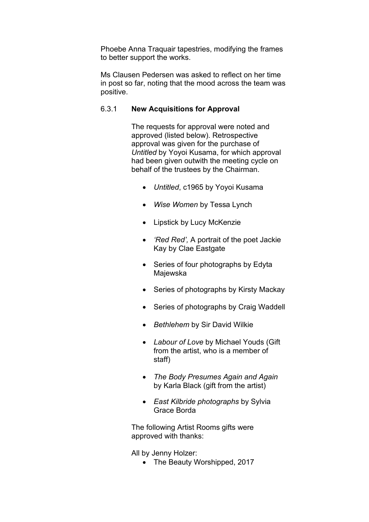Phoebe Anna Traquair tapestries, modifying the frames to better support the works.

Ms Clausen Pedersen was asked to reflect on her time in post so far, noting that the mood across the team was positive.

# 6.3.1 **New Acquisitions for Approval**

The requests for approval were noted and approved (listed below). Retrospective approval was given for the purchase of *Untitled* by Yoyoi Kusama, for which approval had been given outwith the meeting cycle on behalf of the trustees by the Chairman.

- *Untitled*, c1965 by Yoyoi Kusama
- *Wise Women* by Tessa Lynch
- Lipstick by Lucy McKenzie
- *'Red Red',* A portrait of the poet Jackie Kay by Clae Eastgate
- Series of four photographs by Edyta Majewska
- Series of photographs by Kirsty Mackay
- Series of photographs by Craig Waddell
- *Bethlehem* by Sir David Wilkie
- *Labour of Love* by Michael Youds (Gift from the artist, who is a member of staff)
- *The Body Presumes Again and Again*  by Karla Black (gift from the artist)
- *East Kilbride photographs* by Sylvia Grace Borda

The following Artist Rooms gifts were approved with thanks:

All by Jenny Holzer:

• The Beauty Worshipped, 2017